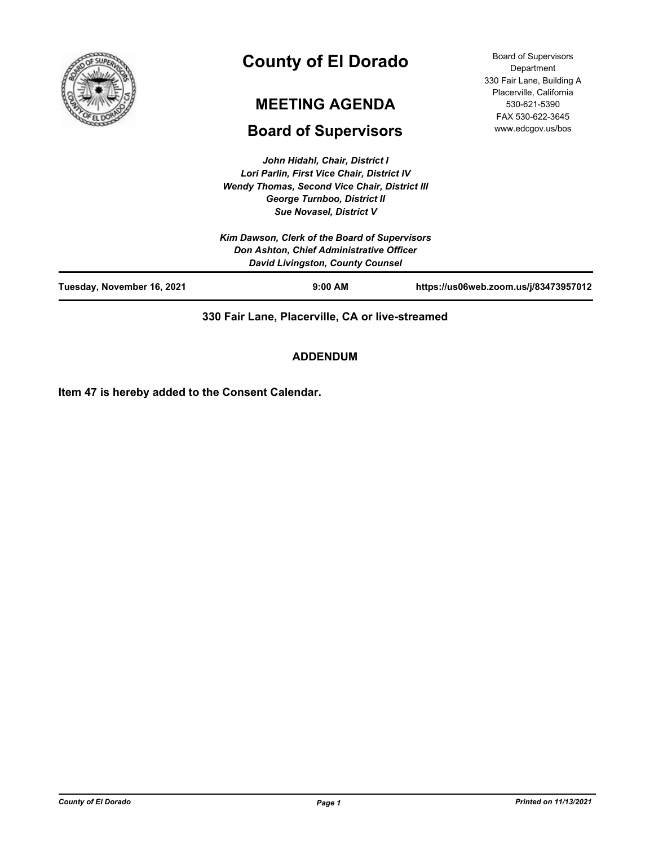

# **County of El Dorado**

# **MEETING AGENDA**

# **Board of Supervisors**

Board of Supervisors Department 330 Fair Lane, Building A Placerville, California 530-621-5390 FAX 530-622-3645 www.edcgov.us/bos

| John Hidahl, Chair, District I                       |
|------------------------------------------------------|
| Lori Parlin, First Vice Chair, District IV           |
| <b>Wendy Thomas, Second Vice Chair, District III</b> |
| George Turnboo, District II                          |
| <b>Sue Novasel, District V</b>                       |

|                            | Kim Dawson, Clerk of the Board of Supervisors<br>Don Ashton, Chief Administrative Officer |                                       |
|----------------------------|-------------------------------------------------------------------------------------------|---------------------------------------|
|                            | <b>David Livingston, County Counsel</b>                                                   |                                       |
| Tuesday, November 16, 2021 | $9:00$ AM                                                                                 | https://us06web.zoom.us/j/83473957012 |

**330 Fair Lane, Placerville, CA or live-streamed**

**ADDENDUM**

**Item 47 is hereby added to the Consent Calendar.**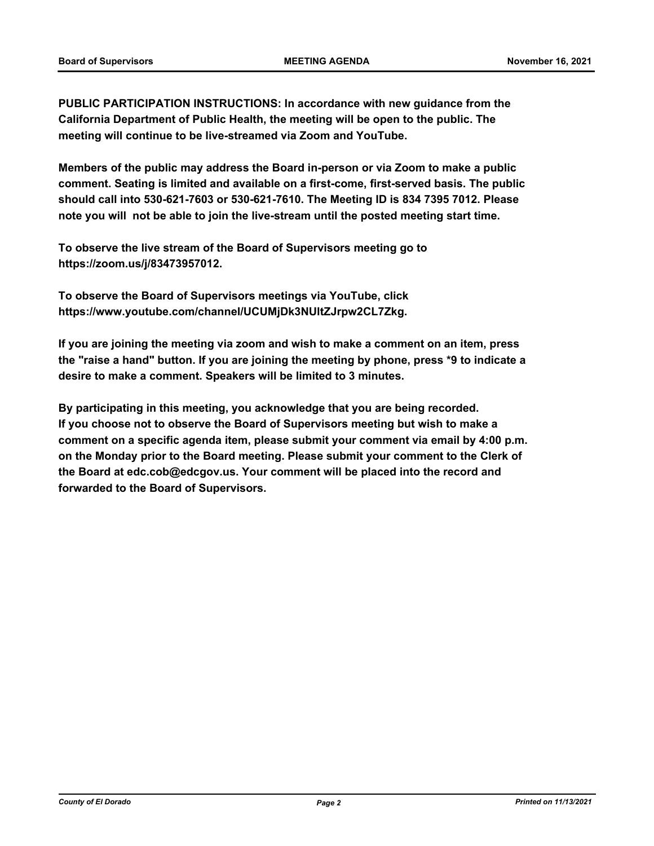**PUBLIC PARTICIPATION INSTRUCTIONS: In accordance with new guidance from the California Department of Public Health, the meeting will be open to the public. The meeting will continue to be live-streamed via Zoom and YouTube.**

**Members of the public may address the Board in-person or via Zoom to make a public comment. Seating is limited and available on a first-come, first-served basis. The public should call into 530-621-7603 or 530-621-7610. The Meeting ID is 834 7395 7012. Please note you will not be able to join the live-stream until the posted meeting start time.**

**To observe the live stream of the Board of Supervisors meeting go to https://zoom.us/j/83473957012.**

**To observe the Board of Supervisors meetings via YouTube, click https://www.youtube.com/channel/UCUMjDk3NUltZJrpw2CL7Zkg.**

**If you are joining the meeting via zoom and wish to make a comment on an item, press the "raise a hand" button. If you are joining the meeting by phone, press \*9 to indicate a desire to make a comment. Speakers will be limited to 3 minutes.**

**By participating in this meeting, you acknowledge that you are being recorded. If you choose not to observe the Board of Supervisors meeting but wish to make a comment on a specific agenda item, please submit your comment via email by 4:00 p.m. on the Monday prior to the Board meeting. Please submit your comment to the Clerk of the Board at edc.cob@edcgov.us. Your comment will be placed into the record and forwarded to the Board of Supervisors.**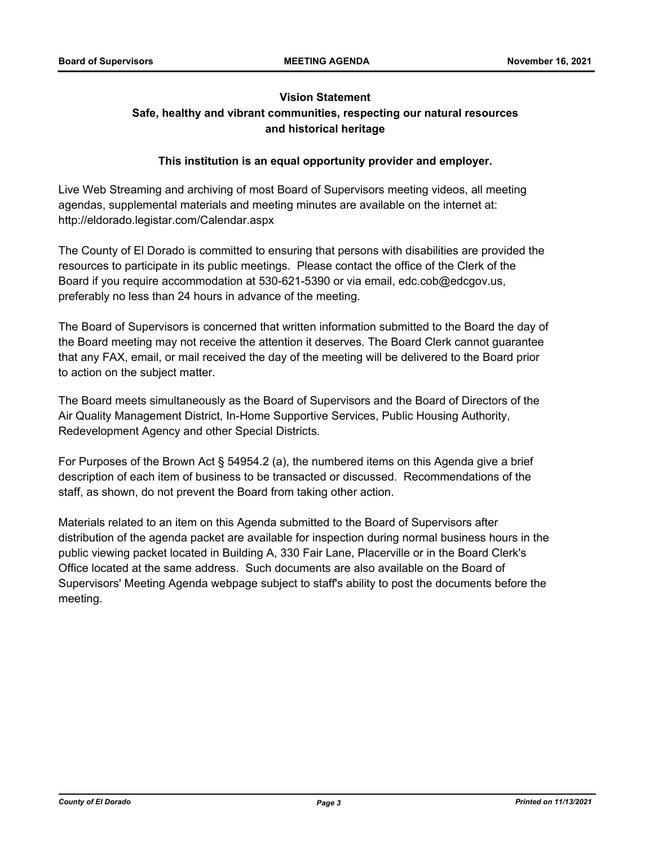# **Vision Statement Safe, healthy and vibrant communities, respecting our natural resources and historical heritage**

# **This institution is an equal opportunity provider and employer.**

Live Web Streaming and archiving of most Board of Supervisors meeting videos, all meeting agendas, supplemental materials and meeting minutes are available on the internet at: http://eldorado.legistar.com/Calendar.aspx

The County of El Dorado is committed to ensuring that persons with disabilities are provided the resources to participate in its public meetings. Please contact the office of the Clerk of the Board if you require accommodation at 530-621-5390 or via email, edc.cob@edcgov.us, preferably no less than 24 hours in advance of the meeting.

The Board of Supervisors is concerned that written information submitted to the Board the day of the Board meeting may not receive the attention it deserves. The Board Clerk cannot guarantee that any FAX, email, or mail received the day of the meeting will be delivered to the Board prior to action on the subject matter.

The Board meets simultaneously as the Board of Supervisors and the Board of Directors of the Air Quality Management District, In-Home Supportive Services, Public Housing Authority, Redevelopment Agency and other Special Districts.

For Purposes of the Brown Act § 54954.2 (a), the numbered items on this Agenda give a brief description of each item of business to be transacted or discussed. Recommendations of the staff, as shown, do not prevent the Board from taking other action.

Materials related to an item on this Agenda submitted to the Board of Supervisors after distribution of the agenda packet are available for inspection during normal business hours in the public viewing packet located in Building A, 330 Fair Lane, Placerville or in the Board Clerk's Office located at the same address. Such documents are also available on the Board of Supervisors' Meeting Agenda webpage subject to staff's ability to post the documents before the meeting.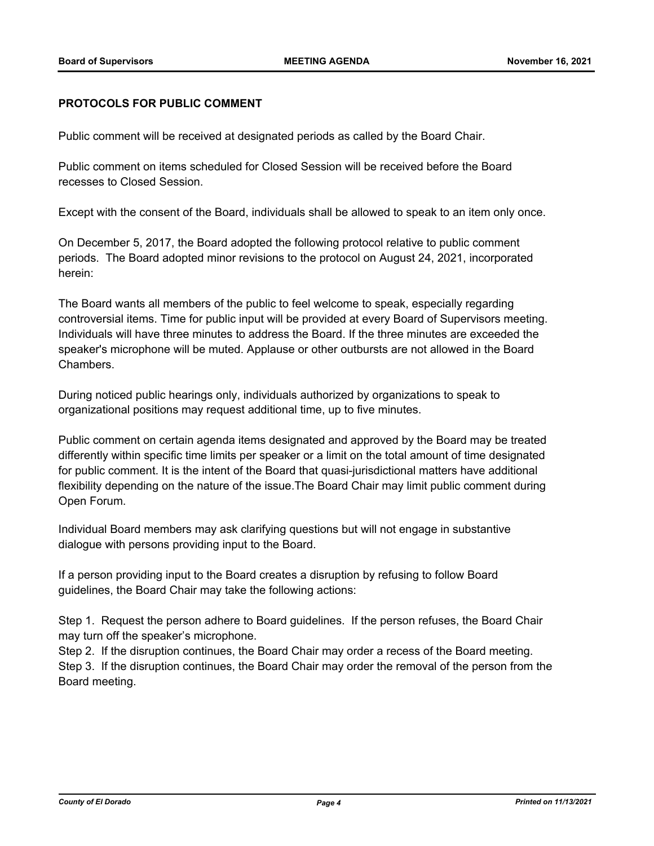# **PROTOCOLS FOR PUBLIC COMMENT**

Public comment will be received at designated periods as called by the Board Chair.

Public comment on items scheduled for Closed Session will be received before the Board recesses to Closed Session.

Except with the consent of the Board, individuals shall be allowed to speak to an item only once.

On December 5, 2017, the Board adopted the following protocol relative to public comment periods. The Board adopted minor revisions to the protocol on August 24, 2021, incorporated herein:

The Board wants all members of the public to feel welcome to speak, especially regarding controversial items. Time for public input will be provided at every Board of Supervisors meeting. Individuals will have three minutes to address the Board. If the three minutes are exceeded the speaker's microphone will be muted. Applause or other outbursts are not allowed in the Board Chambers.

During noticed public hearings only, individuals authorized by organizations to speak to organizational positions may request additional time, up to five minutes.

Public comment on certain agenda items designated and approved by the Board may be treated differently within specific time limits per speaker or a limit on the total amount of time designated for public comment. It is the intent of the Board that quasi-jurisdictional matters have additional flexibility depending on the nature of the issue.The Board Chair may limit public comment during Open Forum.

Individual Board members may ask clarifying questions but will not engage in substantive dialogue with persons providing input to the Board.

If a person providing input to the Board creates a disruption by refusing to follow Board guidelines, the Board Chair may take the following actions:

Step 1. Request the person adhere to Board guidelines. If the person refuses, the Board Chair may turn off the speaker's microphone.

Step 2. If the disruption continues, the Board Chair may order a recess of the Board meeting. Step 3. If the disruption continues, the Board Chair may order the removal of the person from the Board meeting.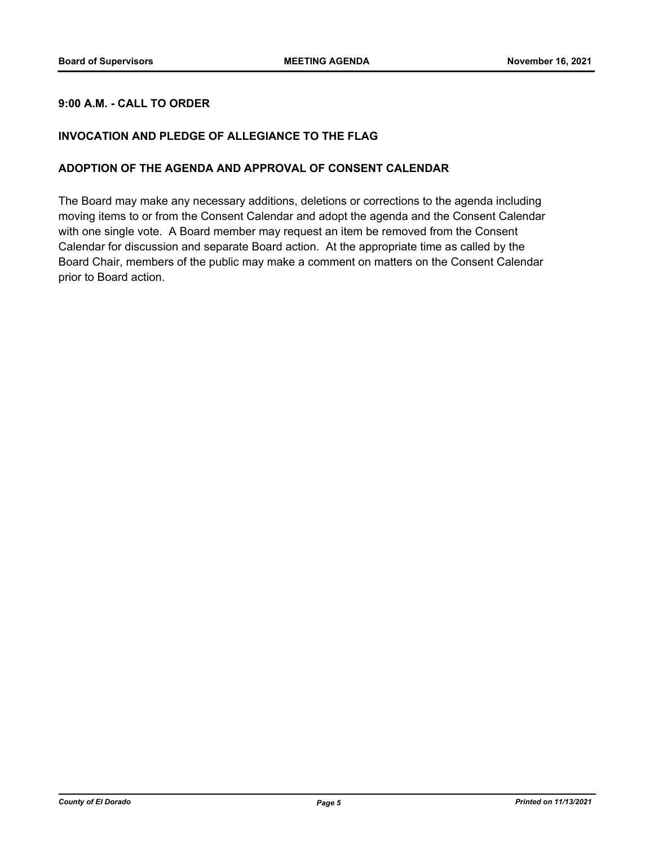# **9:00 A.M. - CALL TO ORDER**

# **INVOCATION AND PLEDGE OF ALLEGIANCE TO THE FLAG**

#### **ADOPTION OF THE AGENDA AND APPROVAL OF CONSENT CALENDAR**

The Board may make any necessary additions, deletions or corrections to the agenda including moving items to or from the Consent Calendar and adopt the agenda and the Consent Calendar with one single vote. A Board member may request an item be removed from the Consent Calendar for discussion and separate Board action. At the appropriate time as called by the Board Chair, members of the public may make a comment on matters on the Consent Calendar prior to Board action.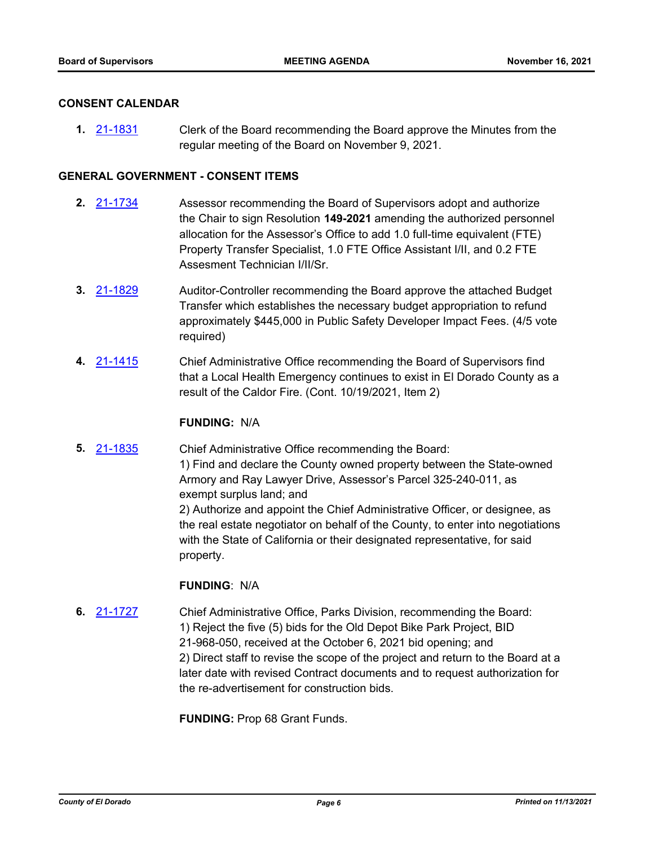#### **CONSENT CALENDAR**

**1.** [21-1831](http://eldorado.legistar.com/gateway.aspx?m=l&id=/matter.aspx?key=30727) Clerk of the Board recommending the Board approve the Minutes from the regular meeting of the Board on November 9, 2021.

# **GENERAL GOVERNMENT - CONSENT ITEMS**

- **2.** [21-1734](http://eldorado.legistar.com/gateway.aspx?m=l&id=/matter.aspx?key=30629) Assessor recommending the Board of Supervisors adopt and authorize the Chair to sign Resolution **149-2021** amending the authorized personnel allocation for the Assessor's Office to add 1.0 full-time equivalent (FTE) Property Transfer Specialist, 1.0 FTE Office Assistant I/II, and 0.2 FTE Assesment Technician I/II/Sr.
- **3.** [21-1829](http://eldorado.legistar.com/gateway.aspx?m=l&id=/matter.aspx?key=30725) Auditor-Controller recommending the Board approve the attached Budget Transfer which establishes the necessary budget appropriation to refund approximately \$445,000 in Public Safety Developer Impact Fees. (4/5 vote required)
- **4.** [21-1415](http://eldorado.legistar.com/gateway.aspx?m=l&id=/matter.aspx?key=30310) Chief Administrative Office recommending the Board of Supervisors find that a Local Health Emergency continues to exist in El Dorado County as a result of the Caldor Fire. (Cont. 10/19/2021, Item 2)

# **FUNDING:** N/A

**5.** [21-1835](http://eldorado.legistar.com/gateway.aspx?m=l&id=/matter.aspx?key=30731) Chief Administrative Office recommending the Board: 1) Find and declare the County owned property between the State-owned Armory and Ray Lawyer Drive, Assessor's Parcel 325-240-011, as exempt surplus land; and 2) Authorize and appoint the Chief Administrative Officer, or designee, as the real estate negotiator on behalf of the County, to enter into negotiations with the State of California or their designated representative, for said property.

#### **FUNDING**: N/A

**6.** [21-1727](http://eldorado.legistar.com/gateway.aspx?m=l&id=/matter.aspx?key=30622) Chief Administrative Office, Parks Division, recommending the Board: 1) Reject the five (5) bids for the Old Depot Bike Park Project, BID 21-968-050, received at the October 6, 2021 bid opening; and 2) Direct staff to revise the scope of the project and return to the Board at a later date with revised Contract documents and to request authorization for the re-advertisement for construction bids.

**FUNDING:** Prop 68 Grant Funds.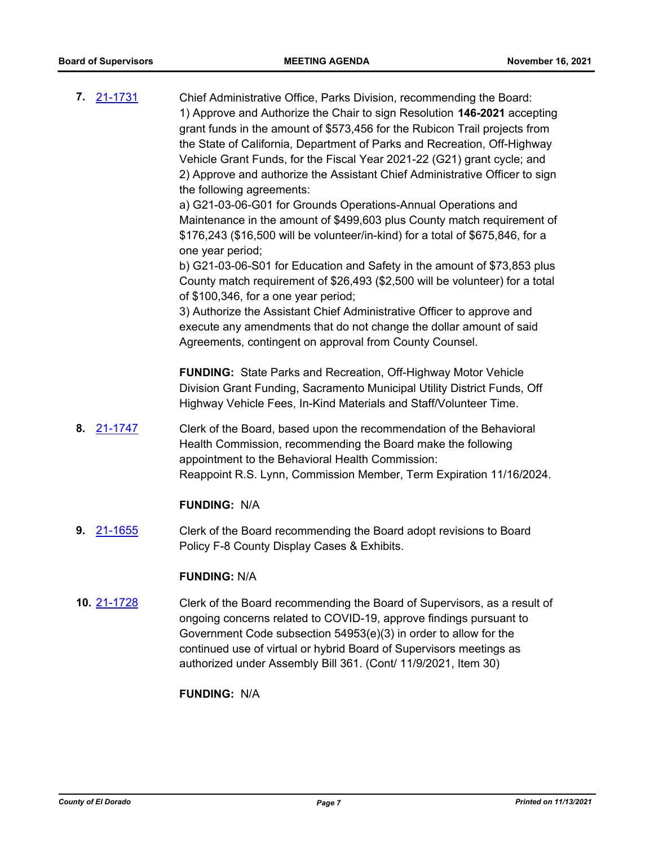- **7.** [21-1731](http://eldorado.legistar.com/gateway.aspx?m=l&id=/matter.aspx?key=30626) Chief Administrative Office, Parks Division, recommending the Board: 1) Approve and Authorize the Chair to sign Resolution **146-2021** accepting grant funds in the amount of \$573,456 for the Rubicon Trail projects from the State of California, Department of Parks and Recreation, Off-Highway Vehicle Grant Funds, for the Fiscal Year 2021-22 (G21) grant cycle; and 2) Approve and authorize the Assistant Chief Administrative Officer to sign the following agreements: a) G21-03-06-G01 for Grounds Operations-Annual Operations and Maintenance in the amount of \$499,603 plus County match requirement of \$176,243 (\$16,500 will be volunteer/in-kind) for a total of \$675,846, for a one year period; b) G21-03-06-S01 for Education and Safety in the amount of \$73,853 plus County match requirement of \$26,493 (\$2,500 will be volunteer) for a total of \$100,346, for a one year period; 3) Authorize the Assistant Chief Administrative Officer to approve and execute any amendments that do not change the dollar amount of said Agreements, contingent on approval from County Counsel. **FUNDING:** State Parks and Recreation, Off-Highway Motor Vehicle Division Grant Funding, Sacramento Municipal Utility District Funds, Off Highway Vehicle Fees, In-Kind Materials and Staff/Volunteer Time. **8.** [21-1747](http://eldorado.legistar.com/gateway.aspx?m=l&id=/matter.aspx?key=30643) Clerk of the Board, based upon the recommendation of the Behavioral Health Commission, recommending the Board make the following appointment to the Behavioral Health Commission: Reappoint R.S. Lynn, Commission Member, Term Expiration 11/16/2024. **FUNDING:** N/A **9.** [21-1655](http://eldorado.legistar.com/gateway.aspx?m=l&id=/matter.aspx?key=30550) Clerk of the Board recommending the Board adopt revisions to Board Policy F-8 County Display Cases & Exhibits. **FUNDING:** N/A
- **10.** [21-1728](http://eldorado.legistar.com/gateway.aspx?m=l&id=/matter.aspx?key=30623) Clerk of the Board recommending the Board of Supervisors, as a result of ongoing concerns related to COVID-19, approve findings pursuant to Government Code subsection 54953(e)(3) in order to allow for the continued use of virtual or hybrid Board of Supervisors meetings as authorized under Assembly Bill 361. (Cont/ 11/9/2021, Item 30)

**FUNDING:** N/A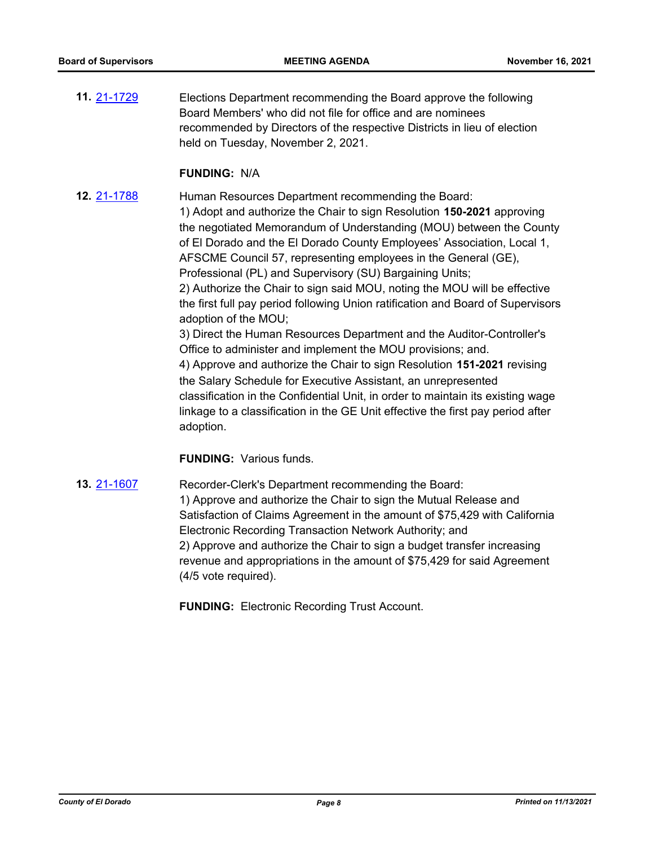**11.** [21-1729](http://eldorado.legistar.com/gateway.aspx?m=l&id=/matter.aspx?key=30624) Elections Department recommending the Board approve the following Board Members' who did not file for office and are nominees recommended by Directors of the respective Districts in lieu of election held on Tuesday, November 2, 2021.

#### **FUNDING:** N/A

**12.** [21-1788](http://eldorado.legistar.com/gateway.aspx?m=l&id=/matter.aspx?key=30684) Human Resources Department recommending the Board: 1) Adopt and authorize the Chair to sign Resolution **150-2021** approving the negotiated Memorandum of Understanding (MOU) between the County of El Dorado and the El Dorado County Employees' Association, Local 1, AFSCME Council 57, representing employees in the General (GE), Professional (PL) and Supervisory (SU) Bargaining Units; 2) Authorize the Chair to sign said MOU, noting the MOU will be effective the first full pay period following Union ratification and Board of Supervisors adoption of the MOU; 3) Direct the Human Resources Department and the Auditor-Controller's Office to administer and implement the MOU provisions; and. 4) Approve and authorize the Chair to sign Resolution **151-2021** revising the Salary Schedule for Executive Assistant, an unrepresented classification in the Confidential Unit, in order to maintain its existing wage linkage to a classification in the GE Unit effective the first pay period after adoption.

# **FUNDING:** Various funds.

**13.** [21-1607](http://eldorado.legistar.com/gateway.aspx?m=l&id=/matter.aspx?key=30502) Recorder-Clerk's Department recommending the Board: 1) Approve and authorize the Chair to sign the Mutual Release and Satisfaction of Claims Agreement in the amount of \$75,429 with California Electronic Recording Transaction Network Authority; and 2) Approve and authorize the Chair to sign a budget transfer increasing revenue and appropriations in the amount of \$75,429 for said Agreement (4/5 vote required).

**FUNDING:** Electronic Recording Trust Account.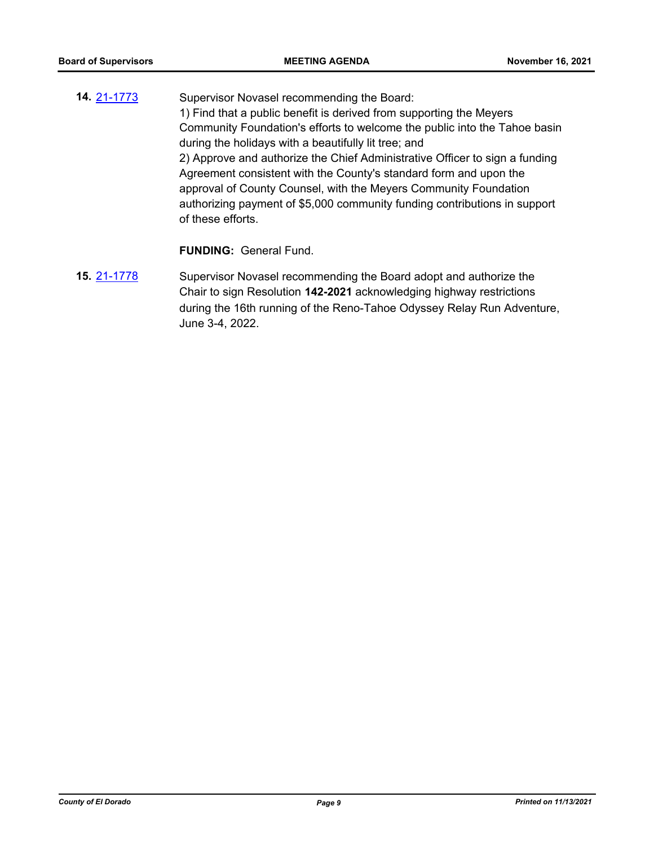**14.** [21-1773](http://eldorado.legistar.com/gateway.aspx?m=l&id=/matter.aspx?key=30669) Supervisor Novasel recommending the Board: 1) Find that a public benefit is derived from supporting the Meyers Community Foundation's efforts to welcome the public into the Tahoe basin during the holidays with a beautifully lit tree; and 2) Approve and authorize the Chief Administrative Officer to sign a funding Agreement consistent with the County's standard form and upon the approval of County Counsel, with the Meyers Community Foundation authorizing payment of \$5,000 community funding contributions in support of these efforts.

**FUNDING:** General Fund.

**15.** [21-1778](http://eldorado.legistar.com/gateway.aspx?m=l&id=/matter.aspx?key=30674) Supervisor Novasel recommending the Board adopt and authorize the Chair to sign Resolution **142-2021** acknowledging highway restrictions during the 16th running of the Reno-Tahoe Odyssey Relay Run Adventure, June 3-4, 2022.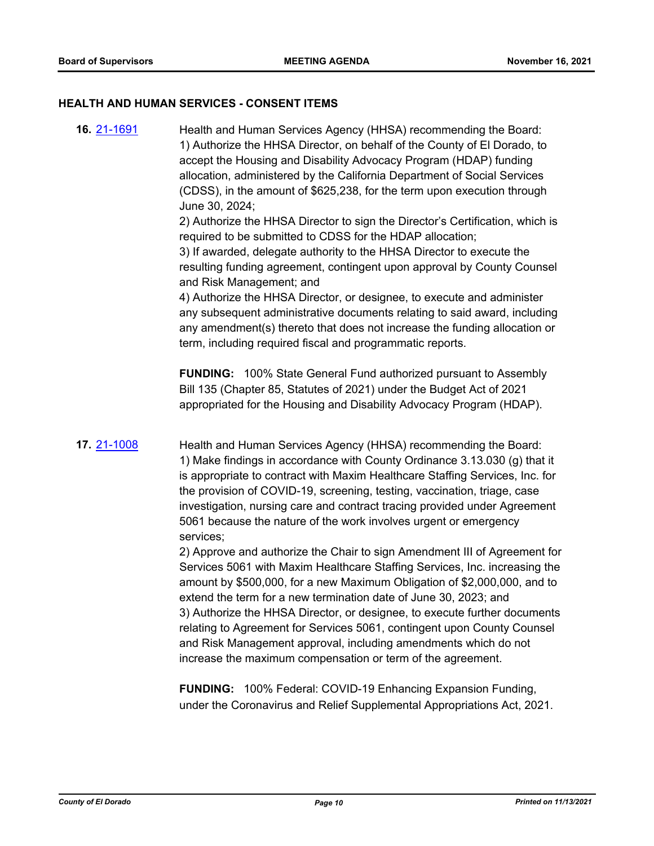#### **HEALTH AND HUMAN SERVICES - CONSENT ITEMS**

**16.** [21-1691](http://eldorado.legistar.com/gateway.aspx?m=l&id=/matter.aspx?key=30586) Health and Human Services Agency (HHSA) recommending the Board: 1) Authorize the HHSA Director, on behalf of the County of El Dorado, to accept the Housing and Disability Advocacy Program (HDAP) funding allocation, administered by the California Department of Social Services (CDSS), in the amount of \$625,238, for the term upon execution through June 30, 2024;

> 2) Authorize the HHSA Director to sign the Director's Certification, which is required to be submitted to CDSS for the HDAP allocation;

> 3) If awarded, delegate authority to the HHSA Director to execute the resulting funding agreement, contingent upon approval by County Counsel and Risk Management; and

> 4) Authorize the HHSA Director, or designee, to execute and administer any subsequent administrative documents relating to said award, including any amendment(s) thereto that does not increase the funding allocation or term, including required fiscal and programmatic reports.

**FUNDING:** 100% State General Fund authorized pursuant to Assembly Bill 135 (Chapter 85, Statutes of 2021) under the Budget Act of 2021 appropriated for the Housing and Disability Advocacy Program (HDAP).

**17.** [21-1008](http://eldorado.legistar.com/gateway.aspx?m=l&id=/matter.aspx?key=29902) Health and Human Services Agency (HHSA) recommending the Board: 1) Make findings in accordance with County Ordinance 3.13.030 (g) that it is appropriate to contract with Maxim Healthcare Staffing Services, Inc. for the provision of COVID-19, screening, testing, vaccination, triage, case investigation, nursing care and contract tracing provided under Agreement 5061 because the nature of the work involves urgent or emergency services;

> 2) Approve and authorize the Chair to sign Amendment III of Agreement for Services 5061 with Maxim Healthcare Staffing Services, Inc. increasing the amount by \$500,000, for a new Maximum Obligation of \$2,000,000, and to extend the term for a new termination date of June 30, 2023; and 3) Authorize the HHSA Director, or designee, to execute further documents relating to Agreement for Services 5061, contingent upon County Counsel and Risk Management approval, including amendments which do not increase the maximum compensation or term of the agreement.

**FUNDING:** 100% Federal: COVID-19 Enhancing Expansion Funding, under the Coronavirus and Relief Supplemental Appropriations Act, 2021.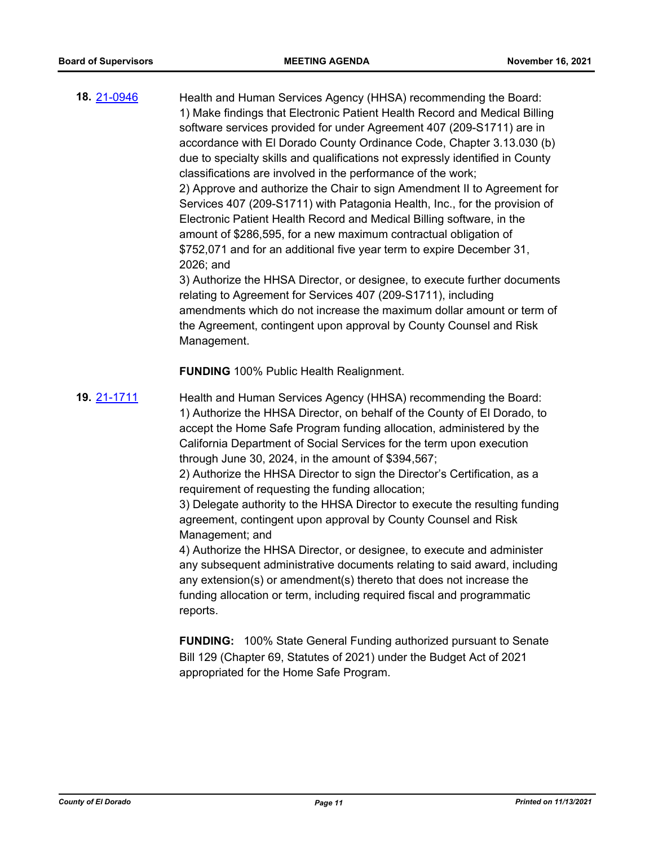**18.** [21-0946](http://eldorado.legistar.com/gateway.aspx?m=l&id=/matter.aspx?key=29840) Health and Human Services Agency (HHSA) recommending the Board: 1) Make findings that Electronic Patient Health Record and Medical Billing software services provided for under Agreement 407 (209-S1711) are in accordance with El Dorado County Ordinance Code, Chapter 3.13.030 (b) due to specialty skills and qualifications not expressly identified in County classifications are involved in the performance of the work; 2) Approve and authorize the Chair to sign Amendment II to Agreement for Services 407 (209-S1711) with Patagonia Health, Inc., for the provision of Electronic Patient Health Record and Medical Billing software, in the amount of \$286,595, for a new maximum contractual obligation of \$752,071 and for an additional five year term to expire December 31, 2026; and 3) Authorize the HHSA Director, or designee, to execute further documents

relating to Agreement for Services 407 (209-S1711), including amendments which do not increase the maximum dollar amount or term of the Agreement, contingent upon approval by County Counsel and Risk Management.

**FUNDING** 100% Public Health Realignment.

**19.** [21-1711](http://eldorado.legistar.com/gateway.aspx?m=l&id=/matter.aspx?key=30606) Health and Human Services Agency (HHSA) recommending the Board: 1) Authorize the HHSA Director, on behalf of the County of El Dorado, to accept the Home Safe Program funding allocation, administered by the California Department of Social Services for the term upon execution through June 30, 2024, in the amount of \$394,567;

> 2) Authorize the HHSA Director to sign the Director's Certification, as a requirement of requesting the funding allocation;

3) Delegate authority to the HHSA Director to execute the resulting funding agreement, contingent upon approval by County Counsel and Risk Management; and

4) Authorize the HHSA Director, or designee, to execute and administer any subsequent administrative documents relating to said award, including any extension(s) or amendment(s) thereto that does not increase the funding allocation or term, including required fiscal and programmatic reports.

**FUNDING:** 100% State General Funding authorized pursuant to Senate Bill 129 (Chapter 69, Statutes of 2021) under the Budget Act of 2021 appropriated for the Home Safe Program.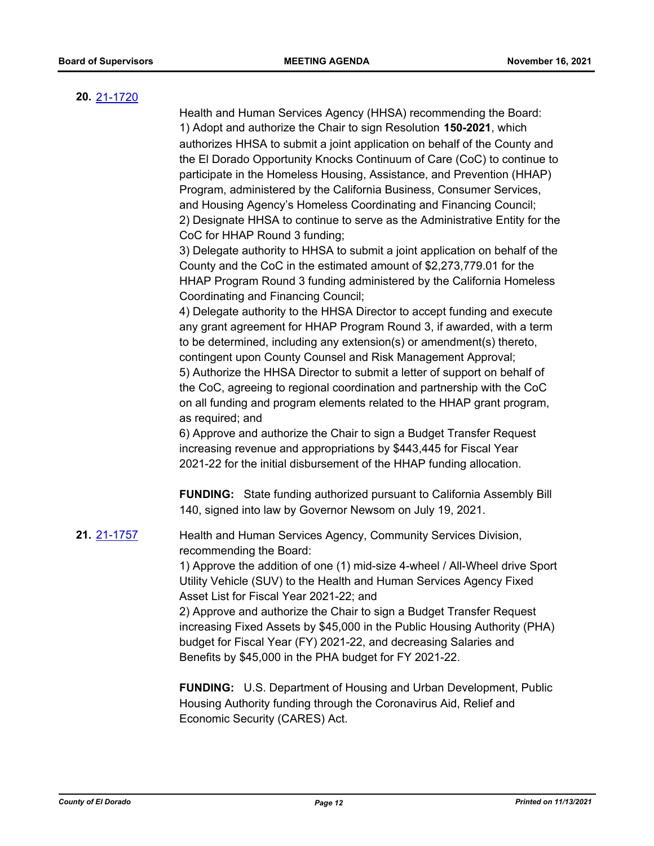# **20.** [21-1720](http://eldorado.legistar.com/gateway.aspx?m=l&id=/matter.aspx?key=30615)

Health and Human Services Agency (HHSA) recommending the Board: 1) Adopt and authorize the Chair to sign Resolution **150-2021**, which authorizes HHSA to submit a joint application on behalf of the County and the El Dorado Opportunity Knocks Continuum of Care (CoC) to continue to participate in the Homeless Housing, Assistance, and Prevention (HHAP) Program, administered by the California Business, Consumer Services, and Housing Agency's Homeless Coordinating and Financing Council; 2) Designate HHSA to continue to serve as the Administrative Entity for the CoC for HHAP Round 3 funding;

3) Delegate authority to HHSA to submit a joint application on behalf of the County and the CoC in the estimated amount of \$2,273,779.01 for the HHAP Program Round 3 funding administered by the California Homeless Coordinating and Financing Council;

4) Delegate authority to the HHSA Director to accept funding and execute any grant agreement for HHAP Program Round 3, if awarded, with a term to be determined, including any extension(s) or amendment(s) thereto, contingent upon County Counsel and Risk Management Approval;

5) Authorize the HHSA Director to submit a letter of support on behalf of the CoC, agreeing to regional coordination and partnership with the CoC on all funding and program elements related to the HHAP grant program, as required; and

6) Approve and authorize the Chair to sign a Budget Transfer Request increasing revenue and appropriations by \$443,445 for Fiscal Year 2021-22 for the initial disbursement of the HHAP funding allocation.

**FUNDING:** State funding authorized pursuant to California Assembly Bill 140, signed into law by Governor Newsom on July 19, 2021.

**21.** [21-1757](http://eldorado.legistar.com/gateway.aspx?m=l&id=/matter.aspx?key=30653) Health and Human Services Agency, Community Services Division, recommending the Board:

> 1) Approve the addition of one (1) mid-size 4-wheel / All-Wheel drive Sport Utility Vehicle (SUV) to the Health and Human Services Agency Fixed Asset List for Fiscal Year 2021-22; and

> 2) Approve and authorize the Chair to sign a Budget Transfer Request increasing Fixed Assets by \$45,000 in the Public Housing Authority (PHA) budget for Fiscal Year (FY) 2021-22, and decreasing Salaries and Benefits by \$45,000 in the PHA budget for FY 2021-22.

> **FUNDING:** U.S. Department of Housing and Urban Development, Public Housing Authority funding through the Coronavirus Aid, Relief and Economic Security (CARES) Act.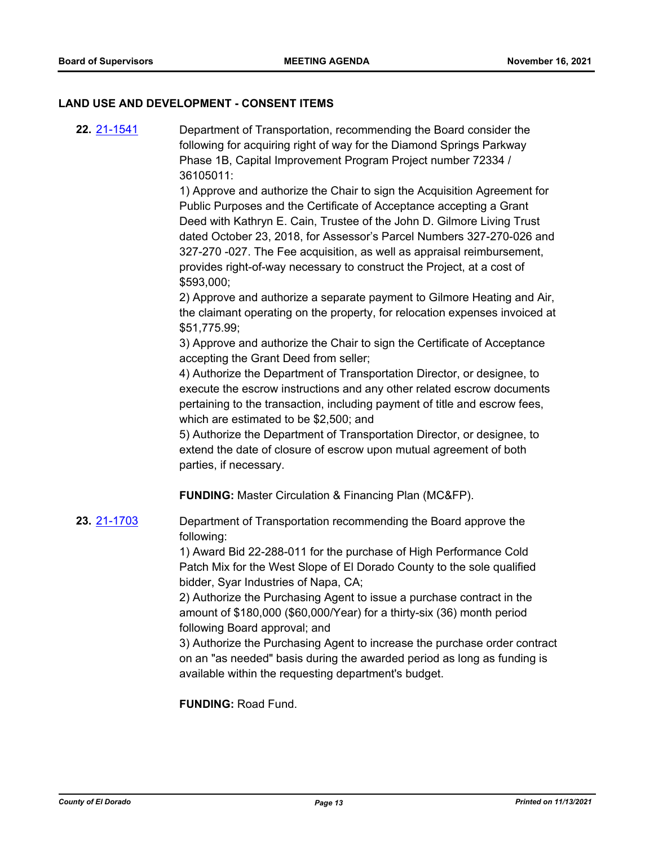#### **LAND USE AND DEVELOPMENT - CONSENT ITEMS**

**22.** [21-1541](http://eldorado.legistar.com/gateway.aspx?m=l&id=/matter.aspx?key=30436) Department of Transportation, recommending the Board consider the following for acquiring right of way for the Diamond Springs Parkway Phase 1B, Capital Improvement Program Project number 72334 / 36105011:

> 1) Approve and authorize the Chair to sign the Acquisition Agreement for Public Purposes and the Certificate of Acceptance accepting a Grant Deed with Kathryn E. Cain, Trustee of the John D. Gilmore Living Trust dated October 23, 2018, for Assessor's Parcel Numbers 327-270-026 and 327-270 -027. The Fee acquisition, as well as appraisal reimbursement, provides right-of-way necessary to construct the Project, at a cost of \$593,000;

> 2) Approve and authorize a separate payment to Gilmore Heating and Air, the claimant operating on the property, for relocation expenses invoiced at \$51,775.99;

3) Approve and authorize the Chair to sign the Certificate of Acceptance accepting the Grant Deed from seller;

4) Authorize the Department of Transportation Director, or designee, to execute the escrow instructions and any other related escrow documents pertaining to the transaction, including payment of title and escrow fees, which are estimated to be \$2,500; and

5) Authorize the Department of Transportation Director, or designee, to extend the date of closure of escrow upon mutual agreement of both parties, if necessary.

**FUNDING:** Master Circulation & Financing Plan (MC&FP).

**23.** [21-1703](http://eldorado.legistar.com/gateway.aspx?m=l&id=/matter.aspx?key=30598) Department of Transportation recommending the Board approve the following:

> 1) Award Bid 22-288-011 for the purchase of High Performance Cold Patch Mix for the West Slope of El Dorado County to the sole qualified bidder, Syar Industries of Napa, CA;

2) Authorize the Purchasing Agent to issue a purchase contract in the amount of \$180,000 (\$60,000/Year) for a thirty-six (36) month period following Board approval; and

3) Authorize the Purchasing Agent to increase the purchase order contract on an "as needed" basis during the awarded period as long as funding is available within the requesting department's budget.

**FUNDING:** Road Fund.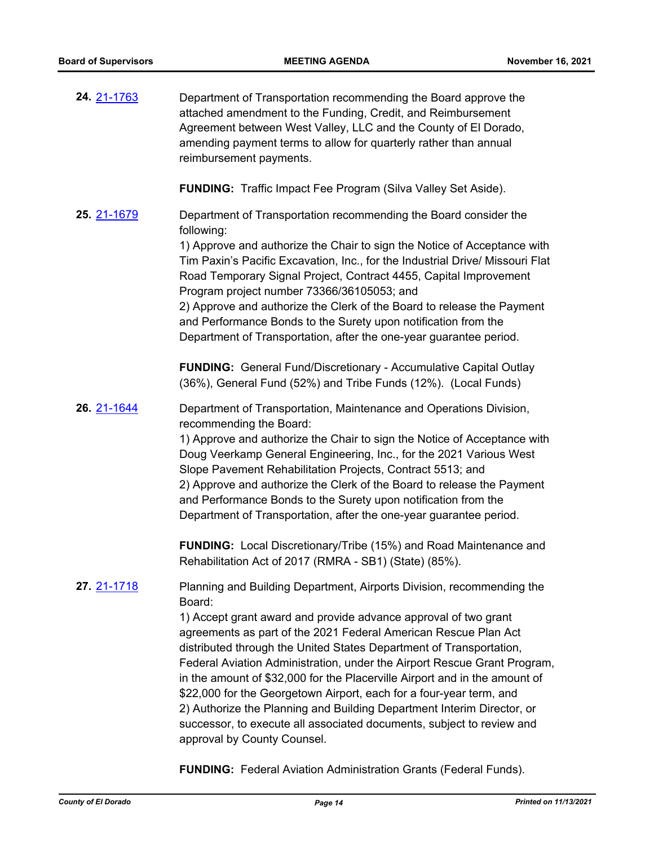| 24. 21-1763        | Department of Transportation recommending the Board approve the<br>attached amendment to the Funding, Credit, and Reimbursement<br>Agreement between West Valley, LLC and the County of El Dorado,<br>amending payment terms to allow for quarterly rather than annual<br>reimbursement payments.                                                                                                                                                                                                                                                                                                                                                                                                               |
|--------------------|-----------------------------------------------------------------------------------------------------------------------------------------------------------------------------------------------------------------------------------------------------------------------------------------------------------------------------------------------------------------------------------------------------------------------------------------------------------------------------------------------------------------------------------------------------------------------------------------------------------------------------------------------------------------------------------------------------------------|
|                    | <b>FUNDING:</b> Traffic Impact Fee Program (Silva Valley Set Aside).                                                                                                                                                                                                                                                                                                                                                                                                                                                                                                                                                                                                                                            |
| <b>25.</b> 21-1679 | Department of Transportation recommending the Board consider the<br>following:<br>1) Approve and authorize the Chair to sign the Notice of Acceptance with<br>Tim Paxin's Pacific Excavation, Inc., for the Industrial Drive/ Missouri Flat<br>Road Temporary Signal Project, Contract 4455, Capital Improvement<br>Program project number 73366/36105053; and<br>2) Approve and authorize the Clerk of the Board to release the Payment<br>and Performance Bonds to the Surety upon notification from the<br>Department of Transportation, after the one-year guarantee period.                                                                                                                                |
|                    | <b>FUNDING:</b> General Fund/Discretionary - Accumulative Capital Outlay<br>(36%), General Fund (52%) and Tribe Funds (12%). (Local Funds)                                                                                                                                                                                                                                                                                                                                                                                                                                                                                                                                                                      |
| 26. 21-1644        | Department of Transportation, Maintenance and Operations Division,<br>recommending the Board:<br>1) Approve and authorize the Chair to sign the Notice of Acceptance with<br>Doug Veerkamp General Engineering, Inc., for the 2021 Various West<br>Slope Pavement Rehabilitation Projects, Contract 5513; and<br>2) Approve and authorize the Clerk of the Board to release the Payment<br>and Performance Bonds to the Surety upon notification from the<br>Department of Transportation, after the one-year guarantee period.                                                                                                                                                                                 |
|                    | <b>FUNDING:</b> Local Discretionary/Tribe (15%) and Road Maintenance and<br>Rehabilitation Act of 2017 (RMRA - SB1) (State) (85%).                                                                                                                                                                                                                                                                                                                                                                                                                                                                                                                                                                              |
| 27. 21-1718        | Planning and Building Department, Airports Division, recommending the<br>Board:<br>1) Accept grant award and provide advance approval of two grant<br>agreements as part of the 2021 Federal American Rescue Plan Act<br>distributed through the United States Department of Transportation,<br>Federal Aviation Administration, under the Airport Rescue Grant Program,<br>in the amount of \$32,000 for the Placerville Airport and in the amount of<br>\$22,000 for the Georgetown Airport, each for a four-year term, and<br>2) Authorize the Planning and Building Department Interim Director, or<br>successor, to execute all associated documents, subject to review and<br>approval by County Counsel. |

**FUNDING:** Federal Aviation Administration Grants (Federal Funds).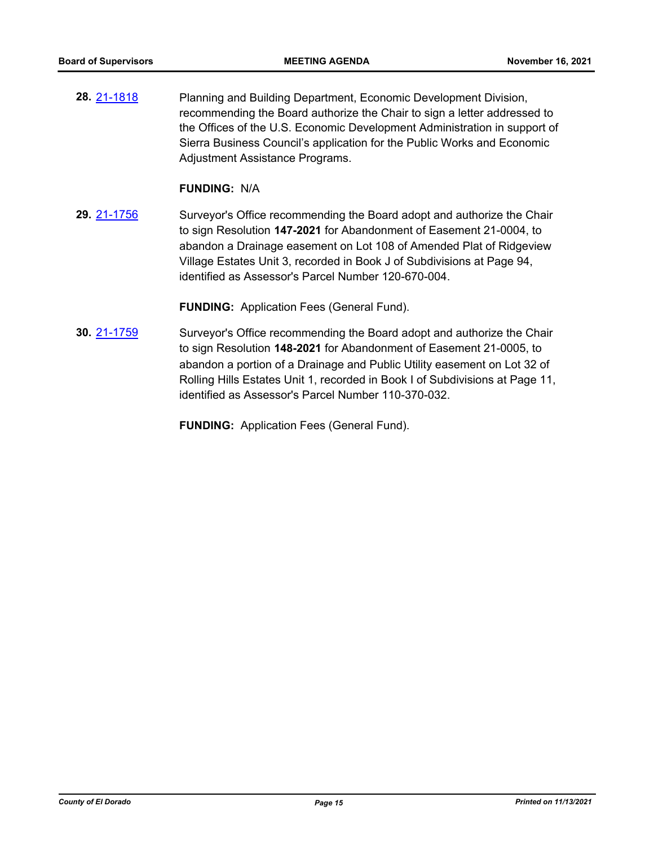**28.** [21-1818](http://eldorado.legistar.com/gateway.aspx?m=l&id=/matter.aspx?key=30714) Planning and Building Department, Economic Development Division, recommending the Board authorize the Chair to sign a letter addressed to the Offices of the U.S. Economic Development Administration in support of Sierra Business Council's application for the Public Works and Economic Adjustment Assistance Programs.

#### **FUNDING:** N/A

**29.** [21-1756](http://eldorado.legistar.com/gateway.aspx?m=l&id=/matter.aspx?key=30652) Surveyor's Office recommending the Board adopt and authorize the Chair to sign Resolution **147-2021** for Abandonment of Easement 21-0004, to abandon a Drainage easement on Lot 108 of Amended Plat of Ridgeview Village Estates Unit 3, recorded in Book J of Subdivisions at Page 94, identified as Assessor's Parcel Number 120-670-004.

**FUNDING:** Application Fees (General Fund).

**30.** [21-1759](http://eldorado.legistar.com/gateway.aspx?m=l&id=/matter.aspx?key=30655) Surveyor's Office recommending the Board adopt and authorize the Chair to sign Resolution **148-2021** for Abandonment of Easement 21-0005, to abandon a portion of a Drainage and Public Utility easement on Lot 32 of Rolling Hills Estates Unit 1, recorded in Book I of Subdivisions at Page 11, identified as Assessor's Parcel Number 110-370-032.

**FUNDING:** Application Fees (General Fund).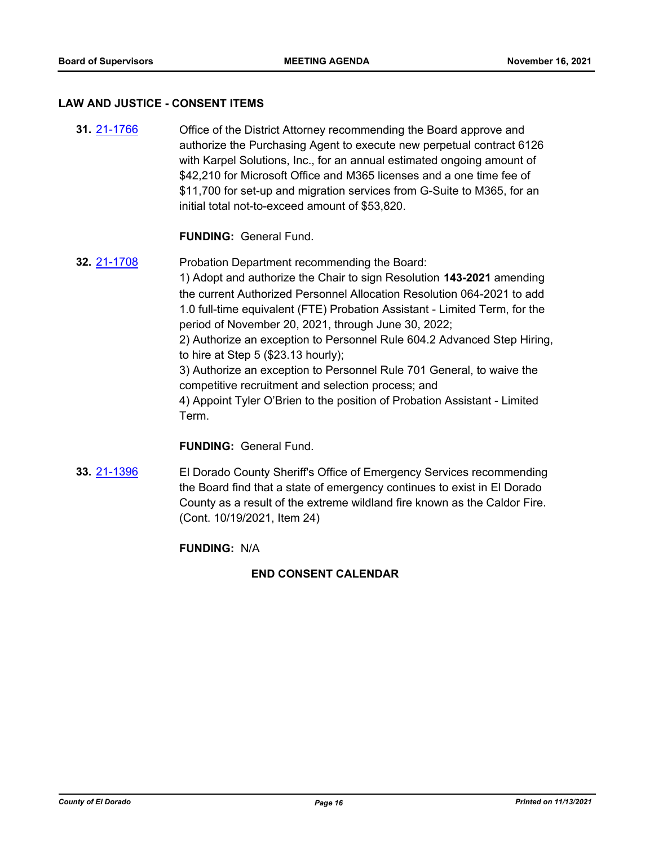#### **LAW AND JUSTICE - CONSENT ITEMS**

**31.** [21-1766](http://eldorado.legistar.com/gateway.aspx?m=l&id=/matter.aspx?key=30662) Office of the District Attorney recommending the Board approve and authorize the Purchasing Agent to execute new perpetual contract 6126 with Karpel Solutions, Inc., for an annual estimated ongoing amount of \$42,210 for Microsoft Office and M365 licenses and a one time fee of \$11,700 for set-up and migration services from G-Suite to M365, for an initial total not-to-exceed amount of \$53,820.

#### **FUNDING:** General Fund.

**32.** [21-1708](http://eldorado.legistar.com/gateway.aspx?m=l&id=/matter.aspx?key=30603) Probation Department recommending the Board: 1) Adopt and authorize the Chair to sign Resolution **143-2021** amending the current Authorized Personnel Allocation Resolution 064-2021 to add 1.0 full-time equivalent (FTE) Probation Assistant - Limited Term, for the period of November 20, 2021, through June 30, 2022; 2) Authorize an exception to Personnel Rule 604.2 Advanced Step Hiring, to hire at Step 5 (\$23.13 hourly); 3) Authorize an exception to Personnel Rule 701 General, to waive the competitive recruitment and selection process; and 4) Appoint Tyler O'Brien to the position of Probation Assistant - Limited Term.

# **FUNDING:** General Fund.

**33.** [21-1396](http://eldorado.legistar.com/gateway.aspx?m=l&id=/matter.aspx?key=30291) El Dorado County Sheriff's Office of Emergency Services recommending the Board find that a state of emergency continues to exist in El Dorado County as a result of the extreme wildland fire known as the Caldor Fire. (Cont. 10/19/2021, Item 24)

#### **FUNDING:** N/A

# **END CONSENT CALENDAR**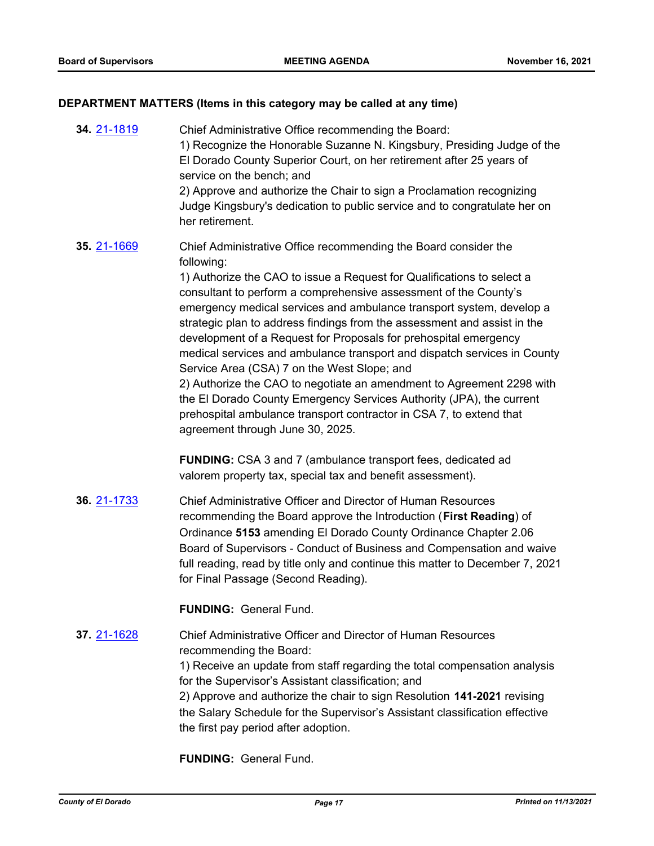#### **DEPARTMENT MATTERS (Items in this category may be called at any time)**

**34.** [21-1819](http://eldorado.legistar.com/gateway.aspx?m=l&id=/matter.aspx?key=30715) Chief Administrative Office recommending the Board: 1) Recognize the Honorable Suzanne N. Kingsbury, Presiding Judge of the El Dorado County Superior Court, on her retirement after 25 years of service on the bench; and 2) Approve and authorize the Chair to sign a Proclamation recognizing Judge Kingsbury's dedication to public service and to congratulate her on her retirement. **35.** [21-1669](http://eldorado.legistar.com/gateway.aspx?m=l&id=/matter.aspx?key=30564) Chief Administrative Office recommending the Board consider the following: 1) Authorize the CAO to issue a Request for Qualifications to select a consultant to perform a comprehensive assessment of the County's emergency medical services and ambulance transport system, develop a strategic plan to address findings from the assessment and assist in the development of a Request for Proposals for prehospital emergency medical services and ambulance transport and dispatch services in County Service Area (CSA) 7 on the West Slope; and 2) Authorize the CAO to negotiate an amendment to Agreement 2298 with the El Dorado County Emergency Services Authority (JPA), the current prehospital ambulance transport contractor in CSA 7, to extend that agreement through June 30, 2025. **FUNDING:** CSA 3 and 7 (ambulance transport fees, dedicated ad valorem property tax, special tax and benefit assessment). **36.** [21-1733](http://eldorado.legistar.com/gateway.aspx?m=l&id=/matter.aspx?key=30628) Chief Administrative Officer and Director of Human Resources recommending the Board approve the Introduction (**First Reading**) of Ordinance **5153** amending El Dorado County Ordinance Chapter 2.06 Board of Supervisors - Conduct of Business and Compensation and waive full reading, read by title only and continue this matter to December 7, 2021 for Final Passage (Second Reading). **FUNDING:** General Fund. **37.** [21-1628](http://eldorado.legistar.com/gateway.aspx?m=l&id=/matter.aspx?key=30523) Chief Administrative Officer and Director of Human Resources recommending the Board: 1) Receive an update from staff regarding the total compensation analysis for the Supervisor's Assistant classification; and 2) Approve and authorize the chair to sign Resolution **141-2021** revising the Salary Schedule for the Supervisor's Assistant classification effective the first pay period after adoption.

**FUNDING:** General Fund.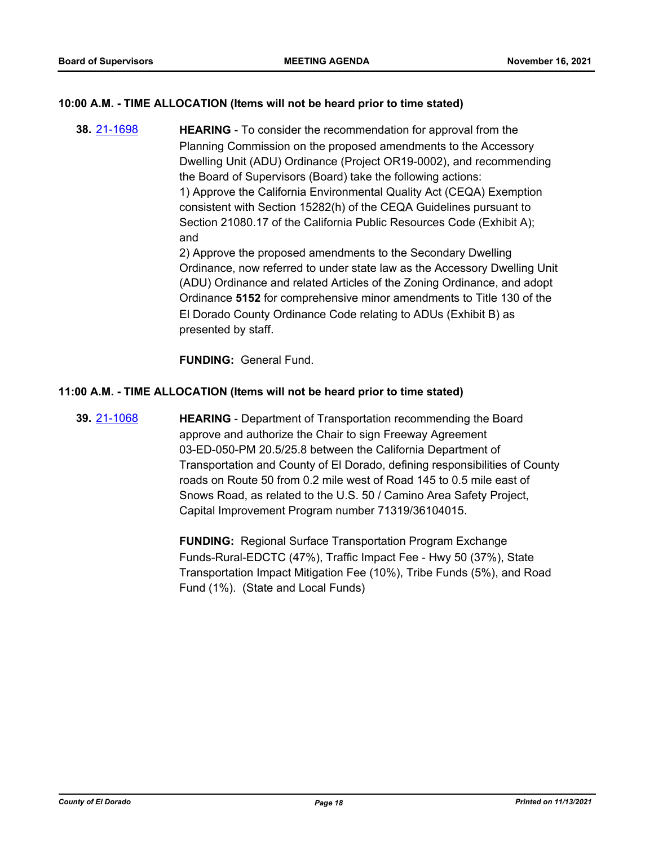# **10:00 A.M. - TIME ALLOCATION (Items will not be heard prior to time stated)**

**38.** [21-1698](http://eldorado.legistar.com/gateway.aspx?m=l&id=/matter.aspx?key=30593) **HEARING** - To consider the recommendation for approval from the Planning Commission on the proposed amendments to the Accessory Dwelling Unit (ADU) Ordinance (Project OR19-0002), and recommending the Board of Supervisors (Board) take the following actions: 1) Approve the California Environmental Quality Act (CEQA) Exemption consistent with Section 15282(h) of the CEQA Guidelines pursuant to Section 21080.17 of the California Public Resources Code (Exhibit A); and 2) Approve the proposed amendments to the Secondary Dwelling Ordinance, now referred to under state law as the Accessory Dwelling Unit (ADU) Ordinance and related Articles of the Zoning Ordinance, and adopt Ordinance **5152** for comprehensive minor amendments to Title 130 of the El Dorado County Ordinance Code relating to ADUs (Exhibit B) as presented by staff.

**FUNDING:** General Fund.

#### **11:00 A.M. - TIME ALLOCATION (Items will not be heard prior to time stated)**

**39.** [21-1068](http://eldorado.legistar.com/gateway.aspx?m=l&id=/matter.aspx?key=29962) **HEARING** - Department of Transportation recommending the Board approve and authorize the Chair to sign Freeway Agreement 03-ED-050-PM 20.5/25.8 between the California Department of Transportation and County of El Dorado, defining responsibilities of County roads on Route 50 from 0.2 mile west of Road 145 to 0.5 mile east of Snows Road, as related to the U.S. 50 / Camino Area Safety Project, Capital Improvement Program number 71319/36104015.

> **FUNDING:** Regional Surface Transportation Program Exchange Funds-Rural-EDCTC (47%), Traffic Impact Fee - Hwy 50 (37%), State Transportation Impact Mitigation Fee (10%), Tribe Funds (5%), and Road Fund (1%). (State and Local Funds)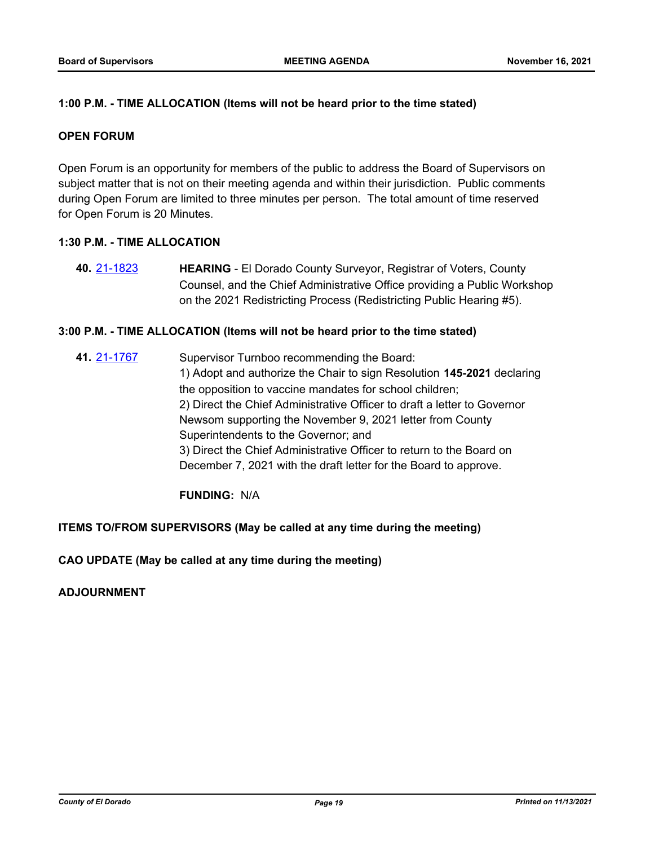# **1:00 P.M. - TIME ALLOCATION (Items will not be heard prior to the time stated)**

### **OPEN FORUM**

Open Forum is an opportunity for members of the public to address the Board of Supervisors on subject matter that is not on their meeting agenda and within their jurisdiction. Public comments during Open Forum are limited to three minutes per person. The total amount of time reserved for Open Forum is 20 Minutes.

# **1:30 P.M. - TIME ALLOCATION**

**40.** [21-1823](http://eldorado.legistar.com/gateway.aspx?m=l&id=/matter.aspx?key=30719) **HEARING** - El Dorado County Surveyor, Registrar of Voters, County Counsel, and the Chief Administrative Office providing a Public Workshop on the 2021 Redistricting Process (Redistricting Public Hearing #5).

#### **3:00 P.M. - TIME ALLOCATION (Items will not be heard prior to the time stated)**

**41.** [21-1767](http://eldorado.legistar.com/gateway.aspx?m=l&id=/matter.aspx?key=30663) Supervisor Turnboo recommending the Board: 1) Adopt and authorize the Chair to sign Resolution **145-2021** declaring the opposition to vaccine mandates for school children; 2) Direct the Chief Administrative Officer to draft a letter to Governor Newsom supporting the November 9, 2021 letter from County Superintendents to the Governor; and 3) Direct the Chief Administrative Officer to return to the Board on December 7, 2021 with the draft letter for the Board to approve.

**FUNDING:** N/A

# **ITEMS TO/FROM SUPERVISORS (May be called at any time during the meeting)**

**CAO UPDATE (May be called at any time during the meeting)**

# **ADJOURNMENT**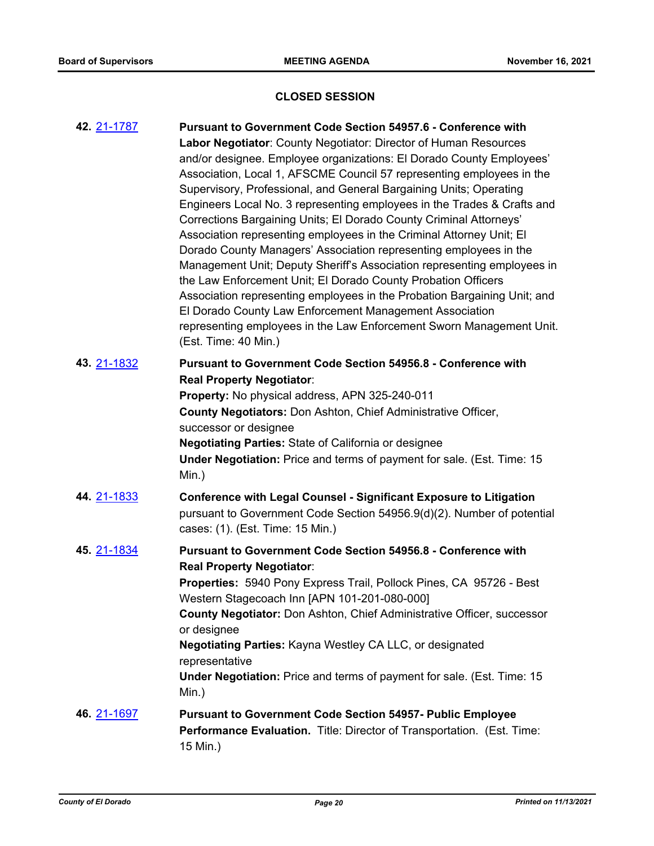# **CLOSED SESSION**

| 42. 21-1787 | <b>Pursuant to Government Code Section 54957.6 - Conference with</b><br>Labor Negotiator: County Negotiator: Director of Human Resources<br>and/or designee. Employee organizations: El Dorado County Employees'<br>Association, Local 1, AFSCME Council 57 representing employees in the<br>Supervisory, Professional, and General Bargaining Units; Operating<br>Engineers Local No. 3 representing employees in the Trades & Crafts and<br>Corrections Bargaining Units; El Dorado County Criminal Attorneys'<br>Association representing employees in the Criminal Attorney Unit; El<br>Dorado County Managers' Association representing employees in the<br>Management Unit; Deputy Sheriff's Association representing employees in<br>the Law Enforcement Unit; El Dorado County Probation Officers<br>Association representing employees in the Probation Bargaining Unit; and<br>El Dorado County Law Enforcement Management Association<br>representing employees in the Law Enforcement Sworn Management Unit.<br>(Est. Time: 40 Min.) |
|-------------|--------------------------------------------------------------------------------------------------------------------------------------------------------------------------------------------------------------------------------------------------------------------------------------------------------------------------------------------------------------------------------------------------------------------------------------------------------------------------------------------------------------------------------------------------------------------------------------------------------------------------------------------------------------------------------------------------------------------------------------------------------------------------------------------------------------------------------------------------------------------------------------------------------------------------------------------------------------------------------------------------------------------------------------------------|
| 43. 21-1832 | <b>Pursuant to Government Code Section 54956.8 - Conference with</b><br><b>Real Property Negotiator:</b><br>Property: No physical address, APN 325-240-011<br>County Negotiators: Don Ashton, Chief Administrative Officer,<br>successor or designee<br><b>Negotiating Parties: State of California or designee</b><br>Under Negotiation: Price and terms of payment for sale. (Est. Time: 15<br>Min.)                                                                                                                                                                                                                                                                                                                                                                                                                                                                                                                                                                                                                                           |
| 44. 21-1833 | <b>Conference with Legal Counsel - Significant Exposure to Litigation</b><br>pursuant to Government Code Section 54956.9(d)(2). Number of potential<br>cases: (1). (Est. Time: 15 Min.)                                                                                                                                                                                                                                                                                                                                                                                                                                                                                                                                                                                                                                                                                                                                                                                                                                                          |
| 45. 21-1834 | Pursuant to Government Code Section 54956.8 - Conference with<br><b>Real Property Negotiator:</b><br>Properties: 5940 Pony Express Trail, Pollock Pines, CA 95726 - Best<br>Western Stagecoach Inn [APN 101-201-080-000]<br>County Negotiator: Don Ashton, Chief Administrative Officer, successor<br>or designee<br>Negotiating Parties: Kayna Westley CA LLC, or designated<br>representative<br><b>Under Negotiation:</b> Price and terms of payment for sale. (Est. Time: 15<br>Min.)                                                                                                                                                                                                                                                                                                                                                                                                                                                                                                                                                        |
| 46. 21-1697 | <b>Pursuant to Government Code Section 54957- Public Employee</b><br>Performance Evaluation. Title: Director of Transportation. (Est. Time:<br>15 Min.)                                                                                                                                                                                                                                                                                                                                                                                                                                                                                                                                                                                                                                                                                                                                                                                                                                                                                          |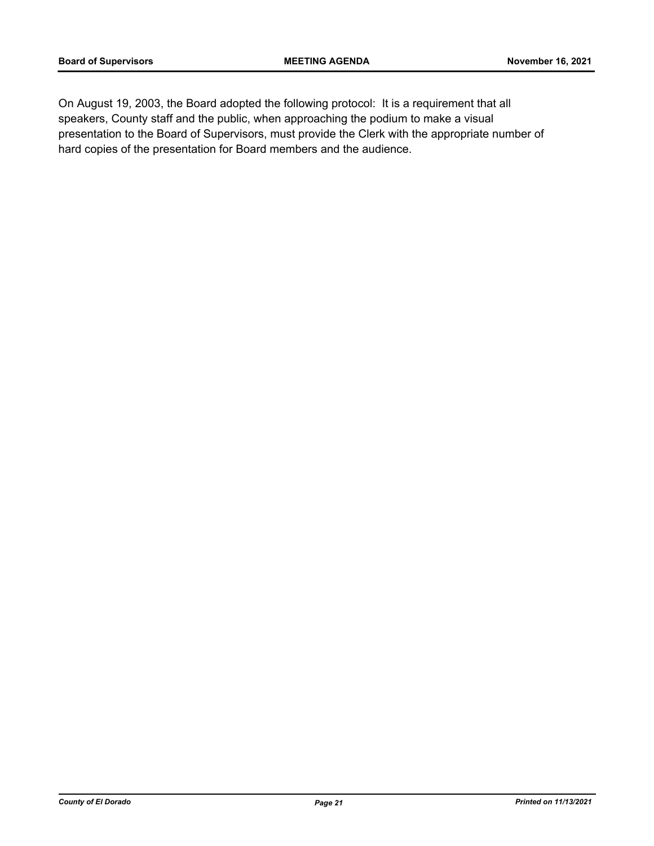On August 19, 2003, the Board adopted the following protocol: It is a requirement that all speakers, County staff and the public, when approaching the podium to make a visual presentation to the Board of Supervisors, must provide the Clerk with the appropriate number of hard copies of the presentation for Board members and the audience.